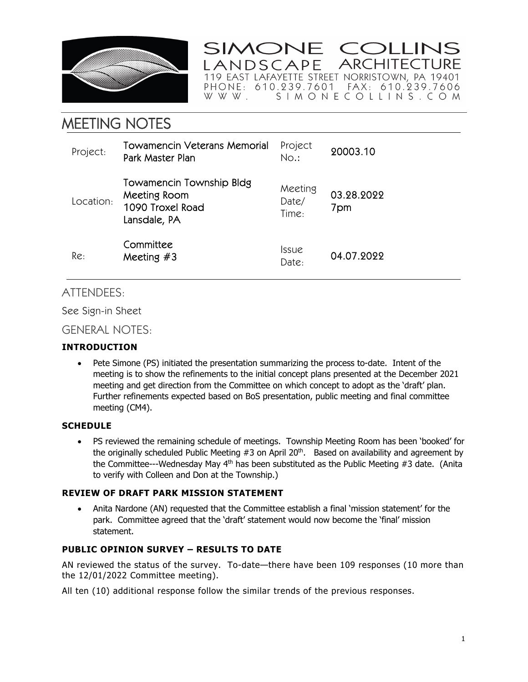

SIMONE COLLINS **ARCHITECTURE** LANDSCAPE 

MEETING NOTES

| Project:  | Towamencin Veterans Memorial<br>Park Master Plan                             | Project<br>No.:              | 20003.10          |
|-----------|------------------------------------------------------------------------------|------------------------------|-------------------|
| Location: | Towamencin Township Bldg<br>Meeting Room<br>1090 Troxel Road<br>Lansdale, PA | Meeting<br>Date/<br>Time:    | 03.28.2022<br>7pm |
| Re:       | Committee<br>Meeting $#3$                                                    | <i><b>Issue</b></i><br>Date: | 04.07.2022        |

# ATTENDEES:

See Sign-in Sheet

## GENERAL NOTES:

## **INTRODUCTION**

• Pete Simone (PS) initiated the presentation summarizing the process to-date. Intent of the meeting is to show the refinements to the initial concept plans presented at the December 2021 meeting and get direction from the Committee on which concept to adopt as the 'draft' plan. Further refinements expected based on BoS presentation, public meeting and final committee meeting (CM4).

## **SCHEDULE**

 PS reviewed the remaining schedule of meetings. Township Meeting Room has been 'booked' for the originally scheduled Public Meeting  $#3$  on April 20<sup>th</sup>. Based on availability and agreement by the Committee---Wednesday May  $4<sup>th</sup>$  has been substituted as the Public Meeting #3 date. (Anita to verify with Colleen and Don at the Township.)

## **REVIEW OF DRAFT PARK MISSION STATEMENT**

 Anita Nardone (AN) requested that the Committee establish a final 'mission statement' for the park. Committee agreed that the 'draft' statement would now become the 'final' mission statement.

## **PUBLIC OPINION SURVEY – RESULTS TO DATE**

AN reviewed the status of the survey. To-date—there have been 109 responses (10 more than the 12/01/2022 Committee meeting).

All ten (10) additional response follow the similar trends of the previous responses.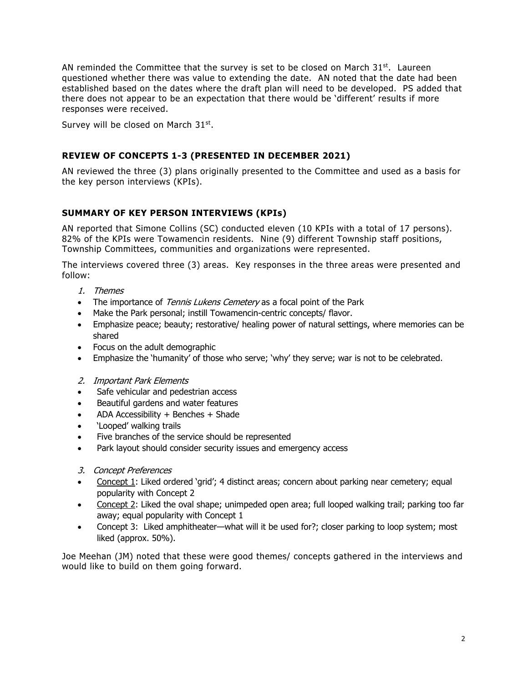AN reminded the Committee that the survey is set to be closed on March  $31^{st}$ . Laureen questioned whether there was value to extending the date. AN noted that the date had been established based on the dates where the draft plan will need to be developed. PS added that there does not appear to be an expectation that there would be 'different' results if more responses were received.

Survey will be closed on March 31<sup>st</sup>.

## **REVIEW OF CONCEPTS 1-3 (PRESENTED IN DECEMBER 2021)**

AN reviewed the three (3) plans originally presented to the Committee and used as a basis for the key person interviews (KPIs).

## **SUMMARY OF KEY PERSON INTERVIEWS (KPIs)**

AN reported that Simone Collins (SC) conducted eleven (10 KPIs with a total of 17 persons). 82% of the KPIs were Towamencin residents. Nine (9) different Township staff positions, Township Committees, communities and organizations were represented.

The interviews covered three (3) areas. Key responses in the three areas were presented and follow:

- 1. Themes
- The importance of *Tennis Lukens Cemetery* as a focal point of the Park
- Make the Park personal; instill Towamencin-centric concepts/ flavor.
- Emphasize peace; beauty; restorative/ healing power of natural settings, where memories can be shared
- Focus on the adult demographic
- Emphasize the 'humanity' of those who serve; 'why' they serve; war is not to be celebrated.
- 2. Important Park Elements
- Safe vehicular and pedestrian access
- Beautiful gardens and water features
- ADA Accessibility + Benches + Shade
- 'Looped' walking trails
- Five branches of the service should be represented
- Park layout should consider security issues and emergency access
- 3. Concept Preferences
- Concept 1: Liked ordered 'grid'; 4 distinct areas; concern about parking near cemetery; equal popularity with Concept 2
- Concept 2: Liked the oval shape; unimpeded open area; full looped walking trail; parking too far away; equal popularity with Concept 1
- Concept 3: Liked amphitheater—what will it be used for?; closer parking to loop system; most liked (approx. 50%).

Joe Meehan (JM) noted that these were good themes/ concepts gathered in the interviews and would like to build on them going forward.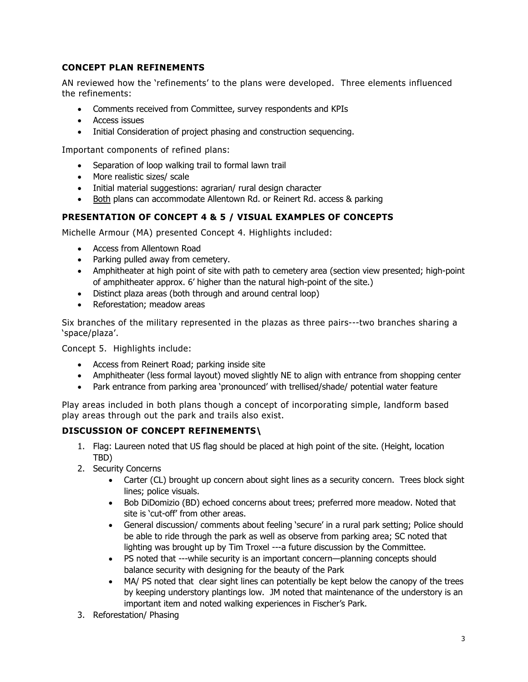## **CONCEPT PLAN REFINEMENTS**

AN reviewed how the 'refinements' to the plans were developed. Three elements influenced the refinements:

- Comments received from Committee, survey respondents and KPIs
- Access issues
- Initial Consideration of project phasing and construction sequencing.

Important components of refined plans:

- Separation of loop walking trail to formal lawn trail
- More realistic sizes/ scale
- Initial material suggestions: agrarian/ rural design character
- Both plans can accommodate Allentown Rd. or Reinert Rd. access & parking

#### **PRESENTATION OF CONCEPT 4 & 5 / VISUAL EXAMPLES OF CONCEPTS**

Michelle Armour (MA) presented Concept 4. Highlights included:

- Access from Allentown Road
- Parking pulled away from cemetery.
- Amphitheater at high point of site with path to cemetery area (section view presented; high-point of amphitheater approx. 6' higher than the natural high-point of the site.)
- Distinct plaza areas (both through and around central loop)
- Reforestation: meadow areas

Six branches of the military represented in the plazas as three pairs---two branches sharing a 'space/plaza'.

Concept 5. Highlights include:

- Access from Reinert Road; parking inside site
- Amphitheater (less formal layout) moved slightly NE to align with entrance from shopping center
- Park entrance from parking area 'pronounced' with trellised/shade/ potential water feature

Play areas included in both plans though a concept of incorporating simple, landform based play areas through out the park and trails also exist.

## **DISCUSSION OF CONCEPT REFINEMENTS\**

- 1. Flag: Laureen noted that US flag should be placed at high point of the site. (Height, location TBD)
- 2. Security Concerns
	- Carter (CL) brought up concern about sight lines as a security concern. Trees block sight lines; police visuals.
	- Bob DiDomizio (BD) echoed concerns about trees; preferred more meadow. Noted that site is 'cut-off' from other areas.
	- General discussion/ comments about feeling 'secure' in a rural park setting; Police should be able to ride through the park as well as observe from parking area; SC noted that lighting was brought up by Tim Troxel ---a future discussion by the Committee.
	- PS noted that ---while security is an important concern—planning concepts should balance security with designing for the beauty of the Park
	- MA/ PS noted that clear sight lines can potentially be kept below the canopy of the trees by keeping understory plantings low. JM noted that maintenance of the understory is an important item and noted walking experiences in Fischer's Park.
- 3. Reforestation/ Phasing